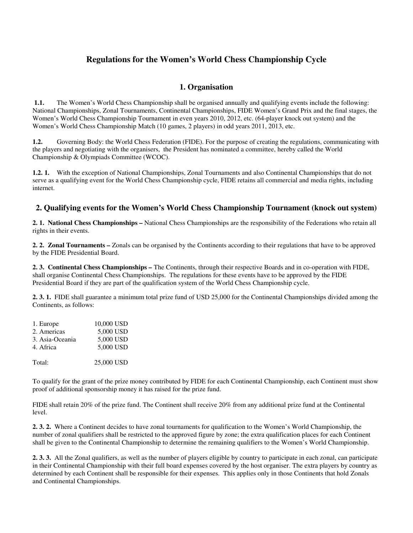### **Regulations for the Women's World Chess Championship Cycle**

#### **1. Organisation**

 **1.1.** The Women's World Chess Championship shall be organised annually and qualifying events include the following: National Championships, Zonal Tournaments, Continental Championships, FIDE Women's Grand Prix and the final stages, the Women's World Chess Championship Tournament in even years 2010, 2012, etc. (64-player knock out system) and the Women's World Chess Championship Match (10 games, 2 players) in odd years 2011, 2013, etc.

**1.2.** Governing Body: the World Chess Federation (FIDE). For the purpose of creating the regulations, communicating with the players and negotiating with the organisers, the President has nominated a committee, hereby called the World Championship & Olympiads Committee (WCOC).

**1.2. 1.** With the exception of National Championships, Zonal Tournaments and also Continental Championships that do not serve as a qualifying event for the World Chess Championship cycle, FIDE retains all commercial and media rights, including internet.

#### **2. Qualifying events for the Women's World Chess Championship Tournament (knock out system)**

**2. 1. National Chess Championships –** National Chess Championships are the responsibility of the Federations who retain all rights in their events.

**2. 2. Zonal Tournaments –** Zonals can be organised by the Continents according to their regulations that have to be approved by the FIDE Presidential Board.

**2. 3. Continental Chess Championships –** The Continents, through their respective Boards and in co-operation with FIDE, shall organise Continental Chess Championships. The regulations for these events have to be approved by the FIDE Presidential Board if they are part of the qualification system of the World Chess Championship cycle.

**2. 3. 1.** FIDE shall guarantee a minimum total prize fund of USD 25,000 for the Continental Championships divided among the Continents, as follows:

| 1. Europe       | 10,000 USD |
|-----------------|------------|
| 2. Americas     | 5,000 USD  |
| 3. Asia-Oceania | 5,000 USD  |
| 4. Africa       | 5,000 USD  |
|                 |            |
| Total:          | 25,000 USD |

To qualify for the grant of the prize money contributed by FIDE for each Continental Championship, each Continent must show proof of additional sponsorship money it has raised for the prize fund.

FIDE shall retain 20% of the prize fund. The Continent shall receive 20% from any additional prize fund at the Continental level.

**2. 3. 2.** Where a Continent decides to have zonal tournaments for qualification to the Women's World Championship, the number of zonal qualifiers shall be restricted to the approved figure by zone; the extra qualification places for each Continent shall be given to the Continental Championship to determine the remaining qualifiers to the Women's World Championship.

**2. 3. 3.** All the Zonal qualifiers, as well as the number of players eligible by country to participate in each zonal, can participate in their Continental Championship with their full board expenses covered by the host organiser. The extra players by country as determined by each Continent shall be responsible for their expenses. This applies only in those Continents that hold Zonals and Continental Championships.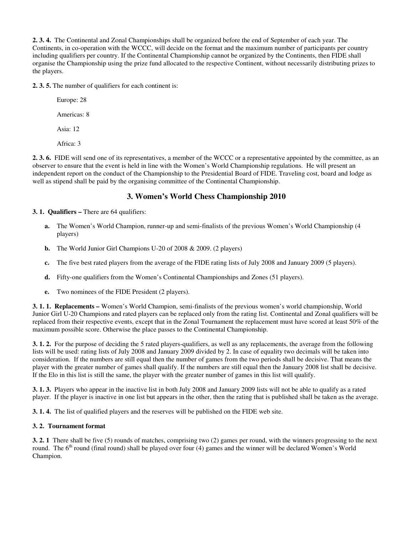**2. 3. 4.** The Continental and Zonal Championships shall be organized before the end of September of each year. The Continents, in co-operation with the WCCC, will decide on the format and the maximum number of participants per country including qualifiers per country. If the Continental Championship cannot be organized by the Continents, then FIDE shall organise the Championship using the prize fund allocated to the respective Continent, without necessarily distributing prizes to the players.

**2. 3. 5.** The number of qualifiers for each continent is:

 Europe: 28 Americas: 8 Asia: 12 Africa: 3

**2. 3. 6.** FIDE will send one of its representatives, a member of the WCCC or a representative appointed by the committee, as an observer to ensure that the event is held in line with the Women's World Championship regulations. He will present an independent report on the conduct of the Championship to the Presidential Board of FIDE. Traveling cost, board and lodge as well as stipend shall be paid by the organising committee of the Continental Championship.

### **3. Women's World Chess Championship 2010**

**3. 1. Qualifiers –** There are 64 qualifiers:

- **a.** The Women's World Champion, runner-up and semi-finalists of the previous Women's World Championship (4 players)
- **b.** The World Junior Girl Champions U-20 of 2008 & 2009. (2 players)
- **c.** The five best rated players from the average of the FIDE rating lists of July 2008 and January 2009 (5 players).
- **d.** Fifty-one qualifiers from the Women's Continental Championships and Zones (51 players).
- **e.** Two nominees of the FIDE President (2 players).

**3. 1. 1. Replacements –** Women's World Champion, semi-finalists of the previous women's world championship, World Junior Girl U-20 Champions and rated players can be replaced only from the rating list. Continental and Zonal qualifiers will be replaced from their respective events, except that in the Zonal Tournament the replacement must have scored at least 50% of the maximum possible score. Otherwise the place passes to the Continental Championship.

**3. 1. 2.** For the purpose of deciding the 5 rated players-qualifiers, as well as any replacements, the average from the following lists will be used: rating lists of July 2008 and January 2009 divided by 2. In case of equality two decimals will be taken into consideration. If the numbers are still equal then the number of games from the two periods shall be decisive. That means the player with the greater number of games shall qualify. If the numbers are still equal then the January 2008 list shall be decisive. If the Elo in this list is still the same, the player with the greater number of games in this list will qualify.

**3. 1. 3.** Players who appear in the inactive list in both July 2008 and January 2009 lists will not be able to qualify as a rated player. If the player is inactive in one list but appears in the other, then the rating that is published shall be taken as the average.

**3. 1. 4.** The list of qualified players and the reserves will be published on the FIDE web site.

#### **3. 2. Tournament format**

**3. 2. 1** There shall be five (5) rounds of matches, comprising two (2) games per round, with the winners progressing to the next round. The  $6<sup>th</sup>$  round (final round) shall be played over four (4) games and the winner will be declared Women's World Champion.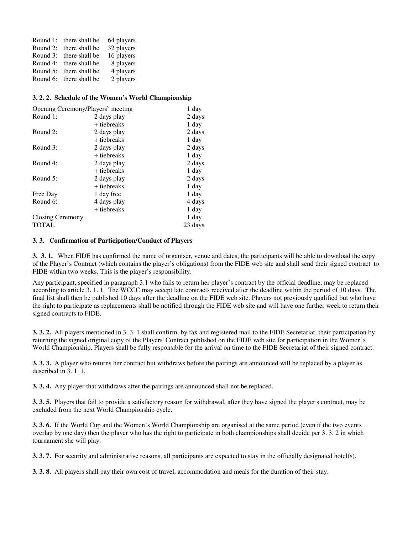|          | Round 1: there shall be | 64 players |
|----------|-------------------------|------------|
| Round 2: | there shall be          | 32 players |
|          | Round 3: there shall be | 16 players |
|          | Round 4: there shall be | 8 players  |
|          | Round 5: there shall be | 4 players  |
|          | Round 6: there shall be | 2 players  |

#### **3. 2. 2. Schedule of the Women's World Championship**

| Opening Ceremony/Players' meeting |             | 1 day   |
|-----------------------------------|-------------|---------|
| Round 1:                          | 2 days play | 2 days  |
|                                   | + tiebreaks | 1 day   |
| Round 2:                          | 2 days play | 2 days  |
|                                   | + tiebreaks | 1 day   |
| Round 3:                          | 2 days play | 2 days  |
|                                   | + tiebreaks | 1 day   |
| Round 4:                          | 2 days play | 2 days  |
|                                   | + tiebreaks | 1 day   |
| Round $5$ :                       | 2 days play | 2 days  |
|                                   | + tiebreaks | 1 day   |
| Free Day                          | 1 day free  | 1 day   |
| Round 6:                          | 4 days play | 4 days  |
|                                   | + tiebreaks | 1 day   |
| Closing Ceremony                  |             | 1 day   |
| <b>TOTAL</b>                      |             | 23 days |
|                                   |             |         |

#### **3. 3. Confirmation of Participation/Conduct of Players**

**3. 3. 1.** When FIDE has confirmed the name of organiser, venue and dates, the participants will be able to download the copy of the Player's Contract (which contains the player's obligations) from the FIDE web site and shall send their signed contract to FIDE within two weeks. This is the player's responsibility.

Any participant, specified in paragraph 3.1 who fails to return her player's contract by the official deadline, may be replaced according to article 3. 1. 1. The WCCC may accept late contracts received after the deadline within the period of 10 days. The final list shall then be published 10 days after the deadline on the FIDE web site. Players not previously qualified but who have the right to participate as replacements shall be notified through the FIDE web site and will have one further week to return their signed contracts to FIDE.

**3. 3. 2.** All players mentioned in 3. 3. 1 shall confirm, by fax and registered mail to the FIDE Secretariat, their participation by returning the signed original copy of the Players' Contract published on the FIDE web site for participation in the Women's World Championship. Players shall be fully responsible for the arrival on time to the FIDE Secretariat of their signed contract.

**3. 3. 3.** A player who returns her contract but withdraws before the pairings are announced will be replaced by a player as described in 3. 1. 1.

**3. 3. 4.** Any player that withdraws after the pairings are announced shall not be replaced.

**3. 3. 5.** Players that fail to provide a satisfactory reason for withdrawal, after they have signed the player's contract, may be excluded from the next World Championship cycle.

**3. 3. 6.** If the World Cup and the Women's World Championship are organised at the same period (even if the two events overlap by one day) then the player who has the right to participate in both championships shall decide per 3. 3. 2 in which tournament she will play.

**3. 3. 7.** For security and administrative reasons, all participants are expected to stay in the officially designated hotel(s).

**3. 3. 8.** All players shall pay their own cost of travel, accommodation and meals for the duration of their stay.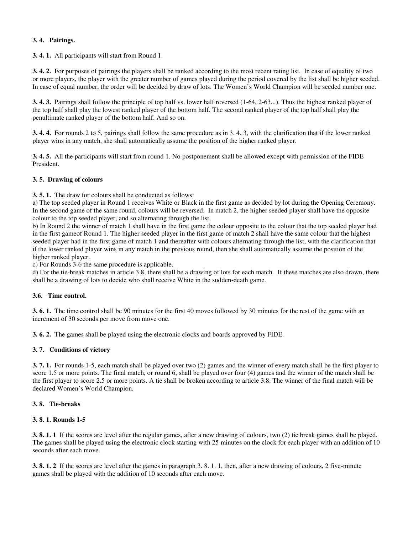#### **3. 4. Pairings.**

**3. 4. 1.** All participants will start from Round 1.

**3. 4. 2.** For purposes of pairings the players shall be ranked according to the most recent rating list. In case of equality of two or more players, the player with the greater number of games played during the period covered by the list shall be higher seeded. In case of equal number, the order will be decided by draw of lots. The Women's World Champion will be seeded number one.

**3. 4. 3.** Pairings shall follow the principle of top half vs. lower half reversed (1-64, 2-63...). Thus the highest ranked player of the top half shall play the lowest ranked player of the bottom half. The second ranked player of the top half shall play the penultimate ranked player of the bottom half. And so on.

**3. 4. 4.** For rounds 2 to 5, pairings shall follow the same procedure as in 3. 4. 3, with the clarification that if the lower ranked player wins in any match, she shall automatically assume the position of the higher ranked player.

**3. 4. 5.** All the participants will start from round 1. No postponement shall be allowed except with permission of the FIDE President.

#### **3. 5. Drawing of colours**

**3. 5. 1.** The draw for colours shall be conducted as follows:

a) The top seeded player in Round 1 receives White or Black in the first game as decided by lot during the Opening Ceremony. In the second game of the same round, colours will be reversed. In match 2, the higher seeded player shall have the opposite colour to the top seeded player, and so alternating through the list.

b) In Round 2 the winner of match 1 shall have in the first game the colour opposite to the colour that the top seeded player had in the first gameof Round 1. The higher seeded player in the first game of match 2 shall have the same colour that the highest seeded player had in the first game of match 1 and thereafter with colours alternating through the list, with the clarification that if the lower ranked player wins in any match in the previous round, then she shall automatically assume the position of the higher ranked player.

c) For Rounds 3-6 the same procedure is applicable.

d) For the tie-break matches in article 3.8, there shall be a drawing of lots for each match. If these matches are also drawn, there shall be a drawing of lots to decide who shall receive White in the sudden-death game.

#### **3.6. Time control.**

**3. 6. 1.** The time control shall be 90 minutes for the first 40 moves followed by 30 minutes for the rest of the game with an increment of 30 seconds per move from move one.

**3. 6. 2.** The games shall be played using the electronic clocks and boards approved by FIDE.

#### **3. 7. Conditions of victory**

**3. 7. 1.** For rounds 1-5, each match shall be played over two (2) games and the winner of every match shall be the first player to score 1.5 or more points. The final match, or round 6, shall be played over four (4) games and the winner of the match shall be the first player to score 2.5 or more points. A tie shall be broken according to article 3.8. The winner of the final match will be declared Women's World Champion.

#### **3. 8. Tie-breaks**

#### **3. 8. 1. Rounds 1-5**

**3. 8. 1. 1** If the scores are level after the regular games, after a new drawing of colours, two (2) tie break games shall be played. The games shall be played using the electronic clock starting with 25 minutes on the clock for each player with an addition of 10 seconds after each move.

**3. 8. 1. 2** If the scores are level after the games in paragraph 3. 8. 1. 1, then, after a new drawing of colours, 2 five-minute games shall be played with the addition of 10 seconds after each move.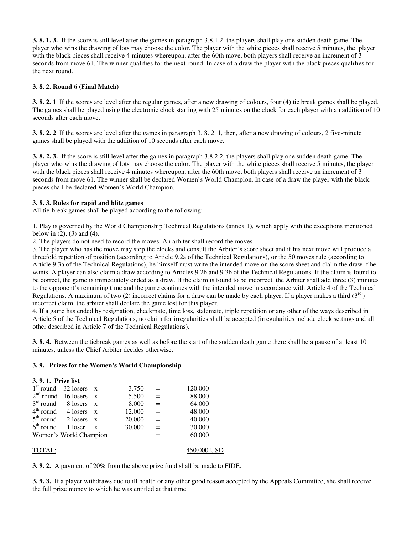**3. 8. 1. 3.** If the score is still level after the games in paragraph 3.8.1.2, the players shall play one sudden death game. The player who wins the drawing of lots may choose the color. The player with the white pieces shall receive 5 minutes, the player with the black pieces shall receive 4 minutes whereupon, after the 60th move, both players shall receive an increment of 3 seconds from move 61. The winner qualifies for the next round. In case of a draw the player with the black pieces qualifies for the next round.

#### **3. 8. 2. Round 6 (Final Match)**

**3. 8. 2. 1** If the scores are level after the regular games, after a new drawing of colours, four (4) tie break games shall be played. The games shall be played using the electronic clock starting with 25 minutes on the clock for each player with an addition of 10 seconds after each move.

**3. 8. 2. 2** If the scores are level after the games in paragraph 3. 8. 2. 1, then, after a new drawing of colours, 2 five-minute games shall be played with the addition of 10 seconds after each move.

**3. 8. 2. 3.** If the score is still level after the games in paragraph 3.8.2.2, the players shall play one sudden death game. The player who wins the drawing of lots may choose the color. The player with the white pieces shall receive 5 minutes, the player with the black pieces shall receive 4 minutes whereupon, after the 60th move, both players shall receive an increment of 3 seconds from move 61. The winner shall be declared Women's World Champion. In case of a draw the player with the black pieces shall be declared Women's World Champion.

#### **3. 8. 3. Rules for rapid and blitz games**

All tie-break games shall be played according to the following:

1. Play is governed by the World Championship Technical Regulations (annex 1), which apply with the exceptions mentioned below in  $(2)$ ,  $(3)$  and  $(4)$ .

2. The players do not need to record the moves. An arbiter shall record the moves.

3. The player who has the move may stop the clocks and consult the Arbiter's score sheet and if his next move will produce a threefold repetition of position (according to Article 9.2a of the Technical Regulations), or the 50 moves rule (according to Article 9.3a of the Technical Regulations), he himself must write the intended move on the score sheet and claim the draw if he wants. A player can also claim a draw according to Articles 9.2b and 9.3b of the Technical Regulations. If the claim is found to be correct, the game is immediately ended as a draw. If the claim is found to be incorrect, the Arbiter shall add three (3) minutes to the opponent's remaining time and the game continues with the intended move in accordance with Article 4 of the Technical Regulations. A maximum of two (2) incorrect claims for a draw can be made by each player. If a player makes a third ( $3<sup>rd</sup>$ ) incorrect claim, the arbiter shall declare the game lost for this player.

4. If a game has ended by resignation, checkmate, time loss, stalemate, triple repetition or any other of the ways described in Article 5 of the Technical Regulations, no claim for irregularities shall be accepted (irregularities include clock settings and all other described in Article 7 of the Technical Regulations).

**3. 8. 4.** Between the tiebreak games as well as before the start of the sudden death game there shall be a pause of at least 10 minutes, unless the Chief Arbiter decides otherwise.

#### **3. 9. Prizes for the Women's World Championship**

| 3.9.1. Prize list |                         |        |     |         |
|-------------------|-------------------------|--------|-----|---------|
|                   | $1st$ round 32 losers x | 3.750  | $=$ | 120.000 |
|                   | $2nd$ round 16 losers x | 5.500  | $=$ | 88.000  |
|                   | $3rd$ round 8 losers x  | 8.000  | $=$ | 64.000  |
|                   | $4th$ round 4 losers x  | 12.000 | $=$ | 48.000  |
|                   | $5th$ round 2 losers x  | 20.000 | $=$ | 40.000  |
|                   | $6th$ round 1 loser x   | 30.000 | $=$ | 30.000  |
|                   | Women's World Champion  |        |     | 60.000  |
|                   |                         |        |     |         |

#### TOTAL: 450.000 USD

**3. 9. 2.** A payment of 20% from the above prize fund shall be made to FIDE.

**3. 9. 3.** If a player withdraws due to ill health or any other good reason accepted by the Appeals Committee, she shall receive the full prize money to which he was entitled at that time.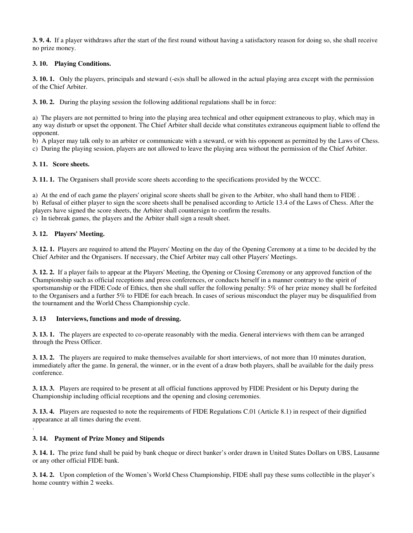**3. 9. 4.** If a player withdraws after the start of the first round without having a satisfactory reason for doing so, she shall receive no prize money.

#### **3. 10. Playing Conditions.**

**3. 10. 1.** Only the players, principals and steward (-es)s shall be allowed in the actual playing area except with the permission of the Chief Arbiter.

**3. 10. 2.** During the playing session the following additional regulations shall be in force:

a) The players are not permitted to bring into the playing area technical and other equipment extraneous to play, which may in any way disturb or upset the opponent. The Chief Arbiter shall decide what constitutes extraneous equipment liable to offend the opponent.

b) A player may talk only to an arbiter or communicate with a steward, or with his opponent as permitted by the Laws of Chess.

c) During the playing session, players are not allowed to leave the playing area without the permission of the Chief Arbiter.

#### **3. 11. Score sheets.**

**3. 11. 1.** The Organisers shall provide score sheets according to the specifications provided by the WCCC.

a) At the end of each game the players' original score sheets shall be given to the Arbiter, who shall hand them to FIDE .

b) Refusal of either player to sign the score sheets shall be penalised according to Article 13.4 of the Laws of Chess. After the players have signed the score sheets, the Arbiter shall countersign to confirm the results.

c) In tiebreak games, the players and the Arbiter shall sign a result sheet.

#### **3. 12. Players' Meeting.**

**3. 12. 1.** Players are required to attend the Players' Meeting on the day of the Opening Ceremony at a time to be decided by the Chief Arbiter and the Organisers. If necessary, the Chief Arbiter may call other Players' Meetings.

**3. 12. 2.** If a player fails to appear at the Players' Meeting, the Opening or Closing Ceremony or any approved function of the Championship such as official receptions and press conferences, or conducts herself in a manner contrary to the spirit of sportsmanship or the FIDE Code of Ethics, then she shall suffer the following penalty: 5% of her prize money shall be forfeited to the Organisers and a further 5% to FIDE for each breach. In cases of serious misconduct the player may be disqualified from the tournament and the World Chess Championship cycle.

#### **3. 13 Interviews, functions and mode of dressing.**

**3. 13. 1.** The players are expected to co-operate reasonably with the media. General interviews with them can be arranged through the Press Officer.

**3. 13. 2.** The players are required to make themselves available for short interviews, of not more than 10 minutes duration, immediately after the game. In general, the winner, or in the event of a draw both players, shall be available for the daily press conference.

**3. 13. 3.** Players are required to be present at all official functions approved by FIDE President or his Deputy during the Championship including official receptions and the opening and closing ceremonies.

**3. 13. 4.** Players are requested to note the requirements of FIDE Regulations C.01 (Article 8.1) in respect of their dignified appearance at all times during the event.

#### **3. 14. Payment of Prize Money and Stipends**

.

**3. 14. 1.** The prize fund shall be paid by bank cheque or direct banker's order drawn in United States Dollars on UBS, Lausanne or any other official FIDE bank.

**3. 14. 2.** Upon completion of the Women's World Chess Championship, FIDE shall pay these sums collectible in the player's home country within 2 weeks.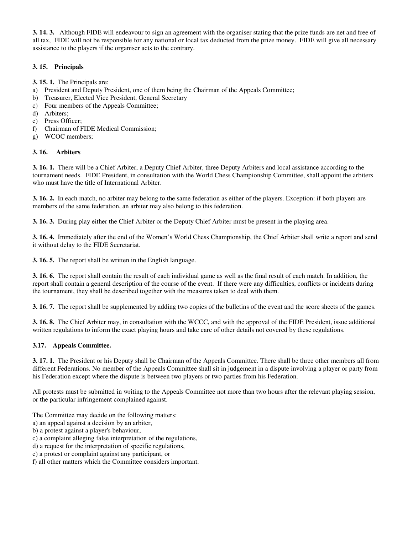**3. 14. 3.** Although FIDE will endeavour to sign an agreement with the organiser stating that the prize funds are net and free of all tax, FIDE will not be responsible for any national or local tax deducted from the prize money. FIDE will give all necessary assistance to the players if the organiser acts to the contrary.

#### **3. 15. Principals**

**3. 15. 1.** The Principals are:

- a) President and Deputy President, one of them being the Chairman of the Appeals Committee;
- b) Treasurer, Elected Vice President, General Secretary
- c) Four members of the Appeals Committee;
- d) Arbiters;
- e) Press Officer;
- f) Chairman of FIDE Medical Commission;
- g) WCOC members;

#### **3. 16. Arbiters**

**3. 16. 1.** There will be a Chief Arbiter, a Deputy Chief Arbiter, three Deputy Arbiters and local assistance according to the tournament needs. FIDE President, in consultation with the World Chess Championship Committee, shall appoint the arbiters who must have the title of International Arbiter.

**3. 16. 2.** In each match, no arbiter may belong to the same federation as either of the players. Exception: if both players are members of the same federation, an arbiter may also belong to this federation.

**3. 16. 3.** During play either the Chief Arbiter or the Deputy Chief Arbiter must be present in the playing area.

**3. 16. 4.** Immediately after the end of the Women's World Chess Championship, the Chief Arbiter shall write a report and send it without delay to the FIDE Secretariat.

**3. 16. 5.** The report shall be written in the English language.

**3. 16. 6.** The report shall contain the result of each individual game as well as the final result of each match. In addition, the report shall contain a general description of the course of the event. If there were any difficulties, conflicts or incidents during the tournament, they shall be described together with the measures taken to deal with them.

**3. 16. 7.** The report shall be supplemented by adding two copies of the bulletins of the event and the score sheets of the games.

**3. 16. 8.** The Chief Arbiter may, in consultation with the WCCC, and with the approval of the FIDE President, issue additional written regulations to inform the exact playing hours and take care of other details not covered by these regulations.

#### **3.17. Appeals Committee.**

**3. 17. 1.** The President or his Deputy shall be Chairman of the Appeals Committee. There shall be three other members all from different Federations. No member of the Appeals Committee shall sit in judgement in a dispute involving a player or party from his Federation except where the dispute is between two players or two parties from his Federation.

All protests must be submitted in writing to the Appeals Committee not more than two hours after the relevant playing session, or the particular infringement complained against.

The Committee may decide on the following matters:

- a) an appeal against a decision by an arbiter,
- b) a protest against a player's behaviour,
- c) a complaint alleging false interpretation of the regulations,
- d) a request for the interpretation of specific regulations,
- e) a protest or complaint against any participant, or
- f) all other matters which the Committee considers important.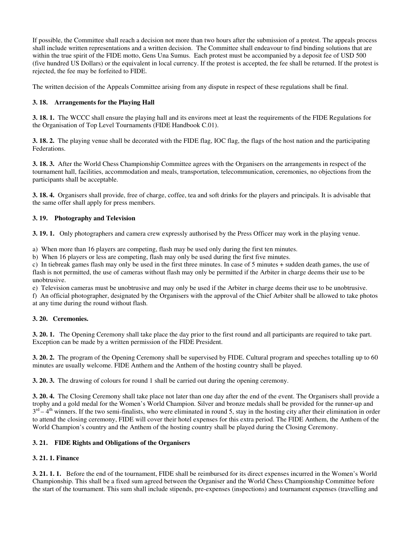If possible, the Committee shall reach a decision not more than two hours after the submission of a protest. The appeals process shall include written representations and a written decision. The Committee shall endeavour to find binding solutions that are within the true spirit of the FIDE motto, Gens Una Sumus. Each protest must be accompanied by a deposit fee of USD 500 (five hundred US Dollars) or the equivalent in local currency. If the protest is accepted, the fee shall be returned. If the protest is rejected, the fee may be forfeited to FIDE.

The written decision of the Appeals Committee arising from any dispute in respect of these regulations shall be final.

#### **3. 18. Arrangements for the Playing Hall**

**3. 18. 1.** The WCCC shall ensure the playing hall and its environs meet at least the requirements of the FIDE Regulations for the Organisation of Top Level Tournaments (FIDE Handbook C.01).

**3. 18. 2.** The playing venue shall be decorated with the FIDE flag, IOC flag, the flags of the host nation and the participating Federations.

**3. 18. 3.** After the World Chess Championship Committee agrees with the Organisers on the arrangements in respect of the tournament hall, facilities, accommodation and meals, transportation, telecommunication, ceremonies, no objections from the participants shall be acceptable.

**3. 18. 4.** Organisers shall provide, free of charge, coffee, tea and soft drinks for the players and principals. It is advisable that the same offer shall apply for press members.

#### **3. 19. Photography and Television**

**3. 19. 1.** Only photographers and camera crew expressly authorised by the Press Officer may work in the playing venue.

a) When more than 16 players are competing, flash may be used only during the first ten minutes.

b) When 16 players or less are competing, flash may only be used during the first five minutes.

c) In tiebreak games flash may only be used in the first three minutes. In case of 5 minutes + sudden death games, the use of flash is not permitted, the use of cameras without flash may only be permitted if the Arbiter in charge deems their use to be unobtrusive.

e) Television cameras must be unobtrusive and may only be used if the Arbiter in charge deems their use to be unobtrusive.

f) An official photographer, designated by the Organisers with the approval of the Chief Arbiter shall be allowed to take photos at any time during the round without flash.

#### **3. 20. Ceremonies.**

**3. 20. 1.** The Opening Ceremony shall take place the day prior to the first round and all participants are required to take part. Exception can be made by a written permission of the FIDE President.

**3. 20. 2.** The program of the Opening Ceremony shall be supervised by FIDE. Cultural program and speeches totalling up to 60 minutes are usually welcome. FIDE Anthem and the Anthem of the hosting country shall be played.

**3. 20. 3.** The drawing of colours for round 1 shall be carried out during the opening ceremony.

**3. 20. 4.** The Closing Ceremony shall take place not later than one day after the end of the event. The Organisers shall provide a trophy and a gold medal for the Women's World Champion. Silver and bronze medals shall be provided for the runner-up and  $3<sup>rd</sup> - 4<sup>th</sup>$  winners. If the two semi-finalists, who were eliminated in round 5, stay in the hosting city after their elimination in order to attend the closing ceremony, FIDE will cover their hotel expenses for this extra period. The FIDE Anthem, the Anthem of the World Champion's country and the Anthem of the hosting country shall be played during the Closing Ceremony.

#### **3. 21. FIDE Rights and Obligations of the Organisers**

#### **3. 21. 1. Finance**

**3. 21. 1. 1.** Before the end of the tournament, FIDE shall be reimbursed for its direct expenses incurred in the Women's World Championship. This shall be a fixed sum agreed between the Organiser and the World Chess Championship Committee before the start of the tournament. This sum shall include stipends, pre-expenses (inspections) and tournament expenses (travelling and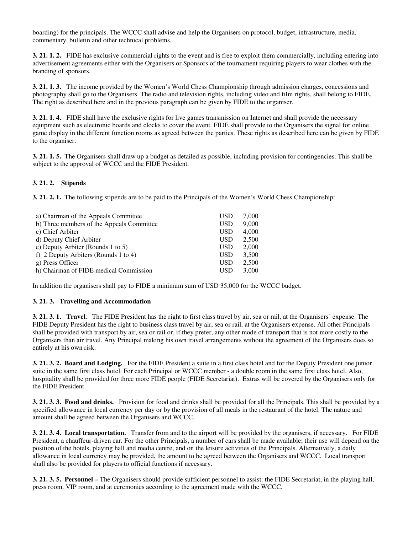boarding) for the principals. The WCCC shall advise and help the Organisers on protocol, budget, infrastructure, media, commentary, bulletin and other technical problems.

**3. 21. 1. 2.** FIDE has exclusive commercial rights to the event and is free to exploit them commercially, including entering into advertisement agreements either with the Organisers or Sponsors of the tournament requiring players to wear clothes with the branding of sponsors.

**3. 21. 1. 3.** The income provided by the Women's World Chess Championship through admission charges, concessions and photography shall go to the Organisers. The radio and television rights, including video and film rights, shall belong to FIDE. The right as described here and in the previous paragraph can be given by FIDE to the organiser.

**3. 21. 1. 4.** FIDE shall have the exclusive rights for live games transmission on Internet and shall provide the necessary equipment such as electronic boards and clocks to cover the event. FIDE shall provide to the Organisers the signal for online game display in the different function rooms as agreed between the parties. These rights as described here can be given by FIDE to the organiser.

**3. 21. 1. 5.** The Organisers shall draw up a budget as detailed as possible, including provision for contingencies. This shall be subject to the approval of WCCC and the FIDE President.

#### **3. 21. 2. Stipends**

**3. 21. 2. 1.** The following stipends are to be paid to the Principals of the Women's World Chess Championship:

| a) Chairman of the Appeals Committee      | USD        | 7.000 |
|-------------------------------------------|------------|-------|
| b) Three members of the Appeals Committee | <b>USD</b> | 9,000 |
| c) Chief Arbiter                          | <b>USD</b> | 4,000 |
| d) Deputy Chief Arbiter                   | <b>USD</b> | 2,500 |
| e) Deputy Arbiter (Rounds 1 to 5)         | <b>USD</b> | 2,000 |
| f) 2 Deputy Arbiters (Rounds 1 to 4)      | <b>USD</b> | 3.500 |
| g) Press Officer                          | <b>USD</b> | 2.500 |
| h) Chairman of FIDE medical Commission    | <b>USD</b> | 3.000 |

In addition the organisers shall pay to FIDE a minimum sum of USD 35,000 for the WCCC budget.

#### **3. 21. 3. Travelling and Accommodation**

**3. 21. 3. 1. Travel.** The FIDE President has the right to first class travel by air, sea or rail, at the Organisers` expense. The FIDE Deputy President has the right to business class travel by air, sea or rail, at the Organisers expense. All other Principals shall be provided with transport by air, sea or rail or, if they prefer, any other mode of transport that is not more costly to the Organisers than air travel. Any Principal making his own travel arrangements without the agreement of the Organisers does so entirely at his own risk.

**3. 21. 3. 2. Board and Lodging.** For the FIDE President a suite in a first class hotel and for the Deputy President one junior suite in the same first class hotel. For each Principal or WCCC member - a double room in the same first class hotel. Also, hospitality shall be provided for three more FIDE people (FIDE Secretariat). Extras will be covered by the Organisers only for the FIDE President.

**3. 21. 3. 3. Food and drinks.** Provision for food and drinks shall be provided for all the Principals. This shall be provided by a specified allowance in local currency per day or by the provision of all meals in the restaurant of the hotel. The nature and amount shall be agreed between the Organisers and WCCC.

**3. 21. 3. 4. Local transportation.** Transfer from and to the airport will be provided by the organisers, if necessary. For FIDE President, a chauffeur-driven car. For the other Principals, a number of cars shall be made available; their use will depend on the position of the hotels, playing hall and media centre, and on the leisure activities of the Principals. Alternatively, a daily allowance in local currency may be provided, the amount to be agreed between the Organisers and WCCC. Local transport shall also be provided for players to official functions if necessary.

**3. 21. 3. 5. Personnel –** The Organisers should provide sufficient personnel to assist: the FIDE Secretariat, in the playing hall, press room, VIP room, and at ceremonies according to the agreement made with the WCCC.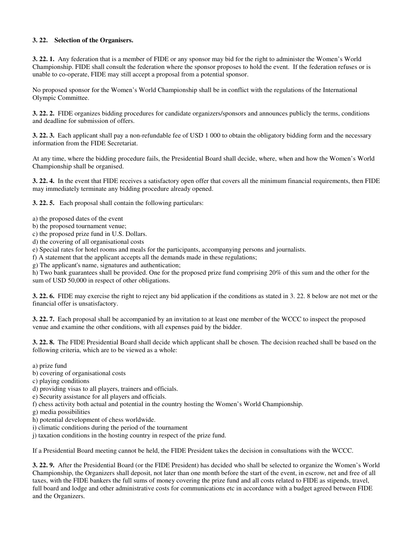#### **3. 22. Selection of the Organisers.**

**3. 22. 1.** Any federation that is a member of FIDE or any sponsor may bid for the right to administer the Women's World Championship. FIDE shall consult the federation where the sponsor proposes to hold the event. If the federation refuses or is unable to co-operate, FIDE may still accept a proposal from a potential sponsor.

No proposed sponsor for the Women's World Championship shall be in conflict with the regulations of the International Olympic Committee.

**3. 22. 2.** FIDE organizes bidding procedures for candidate organizers/sponsors and announces publicly the terms, conditions and deadline for submission of offers.

**3. 22. 3.** Each applicant shall pay a non-refundable fee of USD 1 000 to obtain the obligatory bidding form and the necessary information from the FIDE Secretariat.

At any time, where the bidding procedure fails, the Presidential Board shall decide, where, when and how the Women's World Championship shall be organised.

**3. 22. 4.** In the event that FIDE receives a satisfactory open offer that covers all the minimum financial requirements, then FIDE may immediately terminate any bidding procedure already opened.

**3. 22. 5.** Each proposal shall contain the following particulars:

- a) the proposed dates of the event
- b) the proposed tournament venue;
- c) the proposed prize fund in U.S. Dollars.
- d) the covering of all organisational costs
- e) Special rates for hotel rooms and meals for the participants, accompanying persons and journalists.

f) A statement that the applicant accepts all the demands made in these regulations;

g) The applicant's name, signatures and authentication;

h) Two bank guarantees shall be provided. One for the proposed prize fund comprising 20% of this sum and the other for the sum of USD 50,000 in respect of other obligations.

**3. 22. 6.** FIDE may exercise the right to reject any bid application if the conditions as stated in 3. 22. 8 below are not met or the financial offer is unsatisfactory.

**3. 22. 7.** Each proposal shall be accompanied by an invitation to at least one member of the WCCC to inspect the proposed venue and examine the other conditions, with all expenses paid by the bidder.

**3. 22. 8.** The FIDE Presidential Board shall decide which applicant shall be chosen. The decision reached shall be based on the following criteria, which are to be viewed as a whole:

a) prize fund

- b) covering of organisational costs
- c) playing conditions

d) providing visas to all players, trainers and officials.

e) Security assistance for all players and officials.

- f) chess activity both actual and potential in the country hosting the Women's World Championship.
- g) media possibilities
- h) potential development of chess worldwide.
- i) climatic conditions during the period of the tournament

j) taxation conditions in the hosting country in respect of the prize fund.

If a Presidential Board meeting cannot be held, the FIDE President takes the decision in consultations with the WCCC.

**3. 22. 9.** After the Presidential Board (or the FIDE President) has decided who shall be selected to organize the Women's World Championship, the Organizers shall deposit, not later than one month before the start of the event, in escrow, net and free of all taxes, with the FIDE bankers the full sums of money covering the prize fund and all costs related to FIDE as stipends, travel, full board and lodge and other administrative costs for communications etc in accordance with a budget agreed between FIDE and the Organizers.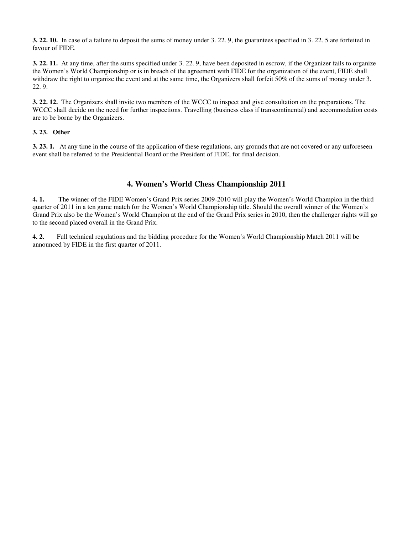**3. 22. 10.** In case of a failure to deposit the sums of money under 3. 22. 9, the guarantees specified in 3. 22. 5 are forfeited in favour of FIDE.

**3. 22. 11.** At any time, after the sums specified under 3. 22. 9, have been deposited in escrow, if the Organizer fails to organize the Women's World Championship or is in breach of the agreement with FIDE for the organization of the event, FIDE shall withdraw the right to organize the event and at the same time, the Organizers shall forfeit 50% of the sums of money under 3. 22. 9.

**3. 22. 12.** The Organizers shall invite two members of the WCCC to inspect and give consultation on the preparations. The WCCC shall decide on the need for further inspections. Travelling (business class if transcontinental) and accommodation costs are to be borne by the Organizers.

#### **3. 23. Other**

**3. 23. 1.** At any time in the course of the application of these regulations, any grounds that are not covered or any unforeseen event shall be referred to the Presidential Board or the President of FIDE, for final decision.

#### **4. Women's World Chess Championship 2011**

**4. 1.** The winner of the FIDE Women's Grand Prix series 2009-2010 will play the Women's World Champion in the third quarter of 2011 in a ten game match for the Women's World Championship title. Should the overall winner of the Women's Grand Prix also be the Women's World Champion at the end of the Grand Prix series in 2010, then the challenger rights will go to the second placed overall in the Grand Prix.

**4. 2.** Full technical regulations and the bidding procedure for the Women's World Championship Match 2011 will be announced by FIDE in the first quarter of 2011.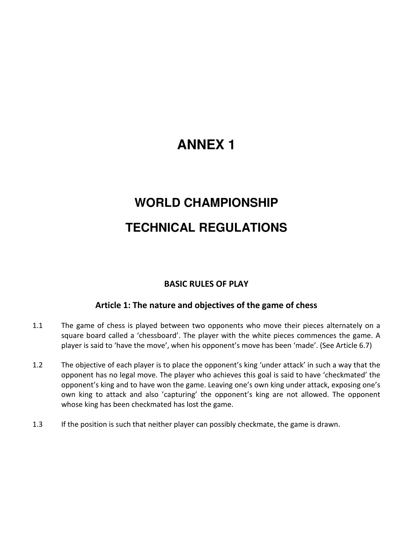# **ANNEX 1**

# **WORLD CHAMPIONSHIP TECHNICAL REGULATIONS**

# BASIC RULES OF PLAY

# Article 1: The nature and objectives of the game of chess

- 1.1 The game of chess is played between two opponents who move their pieces alternately on a square board called a 'chessboard'. The player with the white pieces commences the game. A player is said to 'have the move', when his opponent's move has been 'made'. (See Article 6.7)
- 1.2 The objective of each player is to place the opponent's king 'under attack' in such a way that the opponent has no legal move. The player who achieves this goal is said to have 'checkmated' the opponent's king and to have won the game. Leaving one's own king under attack, exposing one's own king to attack and also 'capturing' the opponent's king are not allowed. The opponent whose king has been checkmated has lost the game.
- 1.3 If the position is such that neither player can possibly checkmate, the game is drawn.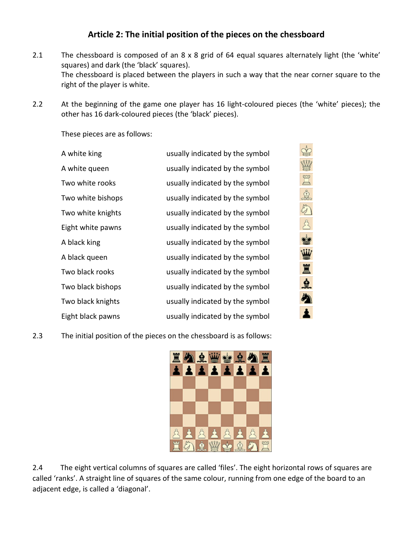# Article 2: The initial position of the pieces on the chessboard

- 2.1 The chessboard is composed of an 8 x 8 grid of 64 equal squares alternately light (the 'white' squares) and dark (the 'black' squares). The chessboard is placed between the players in such a way that the near corner square to the right of the player is white.
- 2.2 At the beginning of the game one player has 16 light-coloured pieces (the 'white' pieces); the other has 16 dark-coloured pieces (the 'black' pieces).

These pieces are as follows:

| A white king      | usually indicated by the symbol |
|-------------------|---------------------------------|
| A white queen     | usually indicated by the symbol |
| Two white rooks   | usually indicated by the symbol |
| Two white bishops | usually indicated by the symbol |
| Two white knights | usually indicated by the symbol |
| Eight white pawns | usually indicated by the symbol |
| A black king      | usually indicated by the symbol |
| A black queen     | usually indicated by the symbol |
| Two black rooks   | usually indicated by the symbol |
| Two black bishops | usually indicated by the symbol |
| Two black knights | usually indicated by the symbol |
| Eight black pawns | usually indicated by the symbol |
|                   |                                 |

2.3 The initial position of the pieces on the chessboard is as follows:



地区地方公司的工业

め

2.4 The eight vertical columns of squares are called 'files'. The eight horizontal rows of squares are called 'ranks'. A straight line of squares of the same colour, running from one edge of the board to an adjacent edge, is called a 'diagonal'.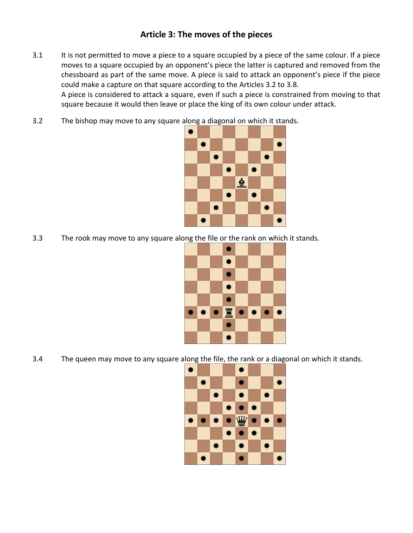# Article 3: The moves of the pieces

3.1 It is not permitted to move a piece to a square occupied by a piece of the same colour. If a piece moves to a square occupied by an opponent's piece the latter is captured and removed from the chessboard as part of the same move. A piece is said to attack an opponent's piece if the piece could make a capture on that square according to the Articles 3.2 to 3.8.

A piece is considered to attack a square, even if such a piece is constrained from moving to that square because it would then leave or place the king of its own colour under attack.

3.2 The bishop may move to any square along a diagonal on which it stands.



3.3 The rook may move to any square along the file or the rank on which it stands.



3.4 The queen may move to any square along the file, the rank or a diagonal on which it stands.

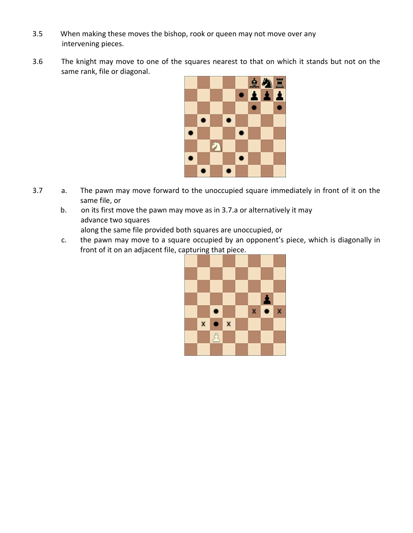- 3.5 When making these moves the bishop, rook or queen may not move over any intervening pieces.
- 3.6 The knight may move to one of the squares nearest to that on which it stands but not on the same rank, file or diagonal.



- 3.7 a. The pawn may move forward to the unoccupied square immediately in front of it on the same file, or
	- b. on its first move the pawn may move as in 3.7.a or alternatively it may advance two squares along the same file provided both squares are unoccupied, or
	- c. the pawn may move to a square occupied by an opponent's piece, which is diagonally in front of it on an adjacent file, capturing that piece.

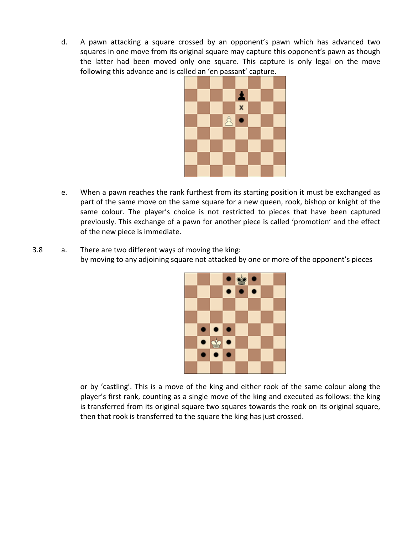d. A pawn attacking a square crossed by an opponent's pawn which has advanced two squares in one move from its original square may capture this opponent's pawn as though the latter had been moved only one square. This capture is only legal on the move following this advance and is called an 'en passant' capture.



- e. When a pawn reaches the rank furthest from its starting position it must be exchanged as part of the same move on the same square for a new queen, rook, bishop or knight of the same colour. The player's choice is not restricted to pieces that have been captured previously. This exchange of a pawn for another piece is called 'promotion' and the effect of the new piece is immediate.
- 3.8 a. There are two different ways of moving the king: by moving to any adjoining square not attacked by one or more of the opponent's pieces



or by 'castling'. This is a move of the king and either rook of the same colour along the player's first rank, counting as a single move of the king and executed as follows: the king is transferred from its original square two squares towards the rook on its original square, then that rook is transferred to the square the king has just crossed.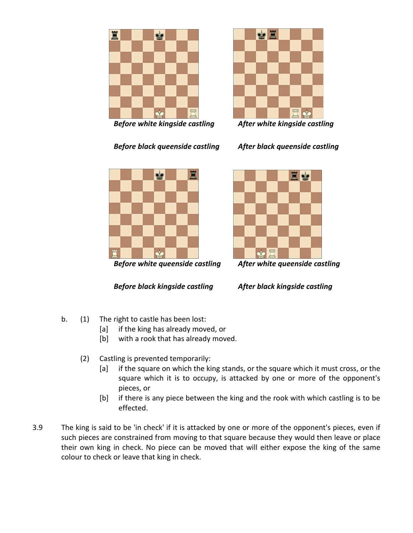

Before white kingside castling After white kingside castling



Before black queenside castling After black queenside castling



Before white queenside castling After white queenside castling

Before black kingside castling After black kingside castling



- b. (1) The right to castle has been lost:
	- [a] if the king has already moved, or
	- [b] with a rook that has already moved.
	- (2) Castling is prevented temporarily:
		- [a] if the square on which the king stands, or the square which it must cross, or the square which it is to occupy, is attacked by one or more of the opponent's pieces, or
		- [b] if there is any piece between the king and the rook with which castling is to be effected.
- 3.9 The king is said to be 'in check' if it is attacked by one or more of the opponent's pieces, even if such pieces are constrained from moving to that square because they would then leave or place their own king in check. No piece can be moved that will either expose the king of the same colour to check or leave that king in check.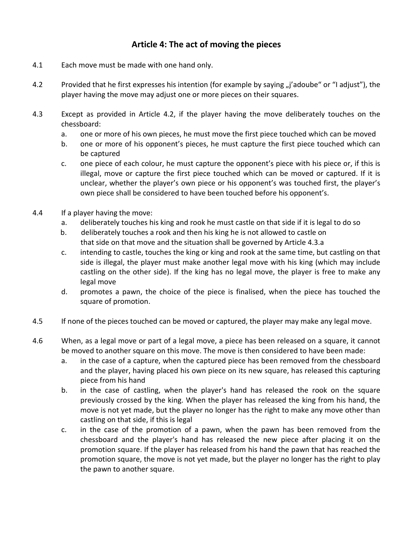# Article 4: The act of moving the pieces

- 4.1 Each move must be made with one hand only.
- 4.2 Provided that he first expresses his intention (for example by saying "j'adoube" or "I adjust"), the player having the move may adjust one or more pieces on their squares.
- 4.3 Except as provided in Article 4.2, if the player having the move deliberately touches on the chessboard:
	- a. one or more of his own pieces, he must move the first piece touched which can be moved
	- b. one or more of his opponent's pieces, he must capture the first piece touched which can be captured
	- c. one piece of each colour, he must capture the opponent's piece with his piece or, if this is illegal, move or capture the first piece touched which can be moved or captured. If it is unclear, whether the player's own piece or his opponent's was touched first, the player's own piece shall be considered to have been touched before his opponent's.
- 4.4 If a player having the move:
	- a. deliberately touches his king and rook he must castle on that side if it is legal to do so
	- b. deliberately touches a rook and then his king he is not allowed to castle on that side on that move and the situation shall be governed by Article 4.3.a
	- c. intending to castle, touches the king or king and rook at the same time, but castling on that side is illegal, the player must make another legal move with his king (which may include castling on the other side). If the king has no legal move, the player is free to make any legal move
	- d. promotes a pawn, the choice of the piece is finalised, when the piece has touched the square of promotion.
- 4.5 If none of the pieces touched can be moved or captured, the player may make any legal move.
- 4.6 When, as a legal move or part of a legal move, a piece has been released on a square, it cannot be moved to another square on this move. The move is then considered to have been made:
	- a. in the case of a capture, when the captured piece has been removed from the chessboard and the player, having placed his own piece on its new square, has released this capturing piece from his hand
	- b. in the case of castling, when the player's hand has released the rook on the square previously crossed by the king. When the player has released the king from his hand, the move is not yet made, but the player no longer has the right to make any move other than castling on that side, if this is legal
	- c. in the case of the promotion of a pawn, when the pawn has been removed from the chessboard and the player's hand has released the new piece after placing it on the promotion square. If the player has released from his hand the pawn that has reached the promotion square, the move is not yet made, but the player no longer has the right to play the pawn to another square.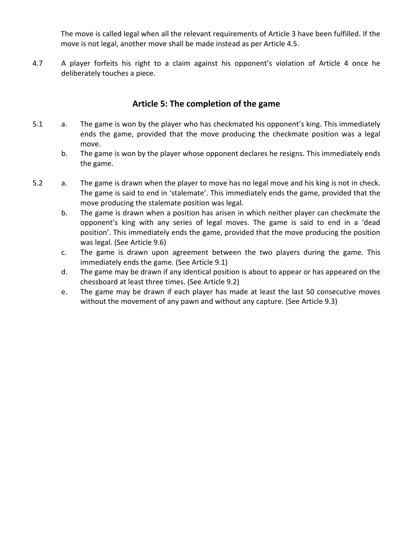The move is called legal when all the relevant requirements of Article 3 have been fulfilled. If the move is not legal, another move shall be made instead as per Article 4.5.

4.7 A player forfeits his right to a claim against his opponent's violation of Article 4 once he deliberately touches a piece.

## Article 5: The completion of the game

- 5.1 a. The game is won by the player who has checkmated his opponent's king. This immediately ends the game, provided that the move producing the checkmate position was a legal move.
	- b. The game is won by the player whose opponent declares he resigns. This immediately ends the game.
- 5.2 a. The game is drawn when the player to move has no legal move and his king is not in check. The game is said to end in 'stalemate'. This immediately ends the game, provided that the move producing the stalemate position was legal.
	- b. The game is drawn when a position has arisen in which neither player can checkmate the opponent's king with any series of legal moves. The game is said to end in a 'dead position'. This immediately ends the game, provided that the move producing the position was legal. (See Article 9.6)
	- c. The game is drawn upon agreement between the two players during the game. This immediately ends the game. (See Article 9.1)
	- d. The game may be drawn if any identical position is about to appear or has appeared on the chessboard at least three times. (See Article 9.2)
	- e. The game may be drawn if each player has made at least the last 50 consecutive moves without the movement of any pawn and without any capture. (See Article 9.3)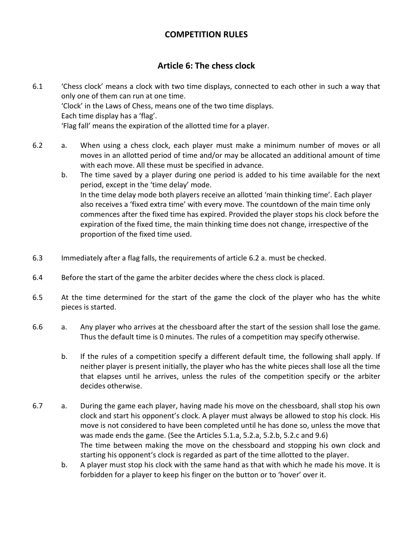# COMPETITION RULES

# Article 6: The chess clock

- 6.1 'Chess clock' means a clock with two time displays, connected to each other in such a way that only one of them can run at one time. 'Clock' in the Laws of Chess, means one of the two time displays. Each time display has a 'flag'. 'Flag fall' means the expiration of the allotted time for a player.
- 6.2 a. When using a chess clock, each player must make a minimum number of moves or all moves in an allotted period of time and/or may be allocated an additional amount of time with each move. All these must be specified in advance.
	- b. The time saved by a player during one period is added to his time available for the next period, except in the 'time delay' mode. In the time delay mode both players receive an allotted 'main thinking time'. Each player also receives a 'fixed extra time' with every move. The countdown of the main time only commences after the fixed time has expired. Provided the player stops his clock before the expiration of the fixed time, the main thinking time does not change, irrespective of the proportion of the fixed time used.
- 6.3 Immediately after a flag falls, the requirements of article 6.2 a. must be checked.
- 6.4 Before the start of the game the arbiter decides where the chess clock is placed.
- 6.5 At the time determined for the start of the game the clock of the player who has the white pieces is started.
- 6.6 a. Any player who arrives at the chessboard after the start of the session shall lose the game. Thus the default time is 0 minutes. The rules of a competition may specify otherwise.
	- b. If the rules of a competition specify a different default time, the following shall apply. If neither player is present initially, the player who has the white pieces shall lose all the time that elapses until he arrives, unless the rules of the competition specify or the arbiter decides otherwise.
- 6.7 a. During the game each player, having made his move on the chessboard, shall stop his own clock and start his opponent's clock. A player must always be allowed to stop his clock. His move is not considered to have been completed until he has done so, unless the move that was made ends the game. (See the Articles 5.1.a, 5.2.a, 5.2.b, 5.2.c and 9.6) The time between making the move on the chessboard and stopping his own clock and starting his opponent's clock is regarded as part of the time allotted to the player.
	- b. A player must stop his clock with the same hand as that with which he made his move. It is forbidden for a player to keep his finger on the button or to 'hover' over it.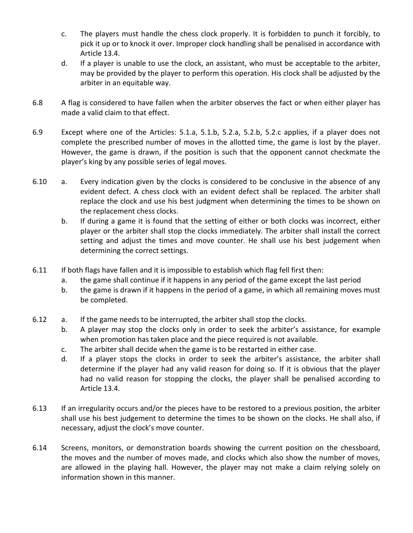- c. The players must handle the chess clock properly. It is forbidden to punch it forcibly, to pick it up or to knock it over. Improper clock handling shall be penalised in accordance with Article 13.4.
- d. If a player is unable to use the clock, an assistant, who must be acceptable to the arbiter, may be provided by the player to perform this operation. His clock shall be adjusted by the arbiter in an equitable way.
- 6.8 A flag is considered to have fallen when the arbiter observes the fact or when either player has made a valid claim to that effect.
- 6.9 Except where one of the Articles: 5.1.a, 5.1.b, 5.2.a, 5.2.b, 5.2.c applies, if a player does not complete the prescribed number of moves in the allotted time, the game is lost by the player. However, the game is drawn, if the position is such that the opponent cannot checkmate the player's king by any possible series of legal moves.
- 6.10 a. Every indication given by the clocks is considered to be conclusive in the absence of any evident defect. A chess clock with an evident defect shall be replaced. The arbiter shall replace the clock and use his best judgment when determining the times to be shown on the replacement chess clocks.
	- b. If during a game it is found that the setting of either or both clocks was incorrect, either player or the arbiter shall stop the clocks immediately. The arbiter shall install the correct setting and adjust the times and move counter. He shall use his best judgement when determining the correct settings.
- 6.11 If both flags have fallen and it is impossible to establish which flag fell first then:
	- a. the game shall continue if it happens in any period of the game except the last period
	- b. the game is drawn if it happens in the period of a game, in which all remaining moves must be completed.
- 6.12 a. If the game needs to be interrupted, the arbiter shall stop the clocks.
	- b. A player may stop the clocks only in order to seek the arbiter's assistance, for example when promotion has taken place and the piece required is not available.
	- c. The arbiter shall decide when the game is to be restarted in either case.
	- d. If a player stops the clocks in order to seek the arbiter's assistance, the arbiter shall determine if the player had any valid reason for doing so. If it is obvious that the player had no valid reason for stopping the clocks, the player shall be penalised according to Article 13.4.
- 6.13 If an irregularity occurs and/or the pieces have to be restored to a previous position, the arbiter shall use his best judgement to determine the times to be shown on the clocks. He shall also, if necessary, adjust the clock's move counter.
- 6.14 Screens, monitors, or demonstration boards showing the current position on the chessboard, the moves and the number of moves made, and clocks which also show the number of moves, are allowed in the playing hall. However, the player may not make a claim relying solely on information shown in this manner.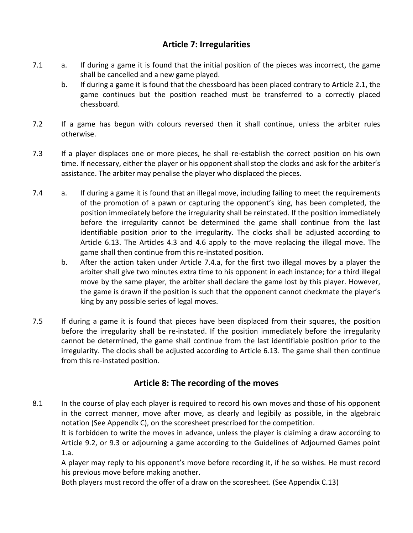# Article 7: Irregularities

- 7.1 a. If during a game it is found that the initial position of the pieces was incorrect, the game shall be cancelled and a new game played.
	- b. If during a game it is found that the chessboard has been placed contrary to Article 2.1, the game continues but the position reached must be transferred to a correctly placed chessboard.
- 7.2 If a game has begun with colours reversed then it shall continue, unless the arbiter rules otherwise.
- 7.3 If a player displaces one or more pieces, he shall re-establish the correct position on his own time. If necessary, either the player or his opponent shall stop the clocks and ask for the arbiter's assistance. The arbiter may penalise the player who displaced the pieces.
- 7.4 a. If during a game it is found that an illegal move, including failing to meet the requirements of the promotion of a pawn or capturing the opponent's king, has been completed, the position immediately before the irregularity shall be reinstated. If the position immediately before the irregularity cannot be determined the game shall continue from the last identifiable position prior to the irregularity. The clocks shall be adjusted according to Article 6.13. The Articles 4.3 and 4.6 apply to the move replacing the illegal move. The game shall then continue from this re-instated position.
	- b. After the action taken under Article 7.4.a, for the first two illegal moves by a player the arbiter shall give two minutes extra time to his opponent in each instance; for a third illegal move by the same player, the arbiter shall declare the game lost by this player. However, the game is drawn if the position is such that the opponent cannot checkmate the player's king by any possible series of legal moves.
- 7.5 If during a game it is found that pieces have been displaced from their squares, the position before the irregularity shall be re-instated. If the position immediately before the irregularity cannot be determined, the game shall continue from the last identifiable position prior to the irregularity. The clocks shall be adjusted according to Article 6.13. The game shall then continue from this re-instated position.

# Article 8: The recording of the moves

8.1 In the course of play each player is required to record his own moves and those of his opponent in the correct manner, move after move, as clearly and legibily as possible, in the algebraic notation (See Appendix C), on the scoresheet prescribed for the competition.

It is forbidden to write the moves in advance, unless the player is claiming a draw according to Article 9.2, or 9.3 or adjourning a game according to the Guidelines of Adjourned Games point 1.a.

A player may reply to his opponent's move before recording it, if he so wishes. He must record his previous move before making another.

Both players must record the offer of a draw on the scoresheet. (See Appendix C.13)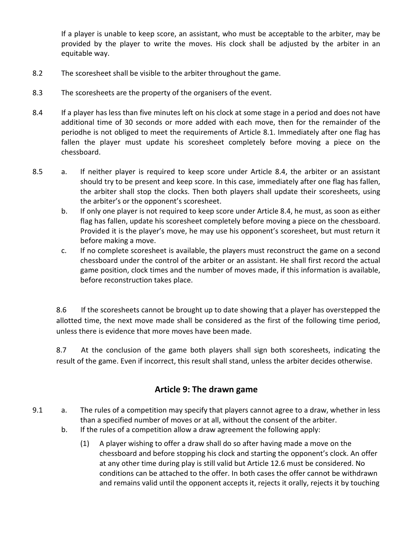If a player is unable to keep score, an assistant, who must be acceptable to the arbiter, may be provided by the player to write the moves. His clock shall be adjusted by the arbiter in an equitable way.

- 8.2 The scoresheet shall be visible to the arbiter throughout the game.
- 8.3 The scoresheets are the property of the organisers of the event.
- 8.4 If a player has less than five minutes left on his clock at some stage in a period and does not have additional time of 30 seconds or more added with each move, then for the remainder of the periodhe is not obliged to meet the requirements of Article 8.1. Immediately after one flag has fallen the player must update his scoresheet completely before moving a piece on the chessboard.
- 8.5 a. If neither player is required to keep score under Article 8.4, the arbiter or an assistant should try to be present and keep score. In this case, immediately after one flag has fallen, the arbiter shall stop the clocks. Then both players shall update their scoresheets, using the arbiter's or the opponent's scoresheet.
	- b. If only one player is not required to keep score under Article 8.4, he must, as soon as either flag has fallen, update his scoresheet completely before moving a piece on the chessboard. Provided it is the player's move, he may use his opponent's scoresheet, but must return it before making a move.
	- c. If no complete scoresheet is available, the players must reconstruct the game on a second chessboard under the control of the arbiter or an assistant. He shall first record the actual game position, clock times and the number of moves made, if this information is available, before reconstruction takes place.

8.6 If the scoresheets cannot be brought up to date showing that a player has overstepped the allotted time, the next move made shall be considered as the first of the following time period, unless there is evidence that more moves have been made.

8.7 At the conclusion of the game both players shall sign both scoresheets, indicating the result of the game. Even if incorrect, this result shall stand, unless the arbiter decides otherwise.

# Article 9: The drawn game

- 9.1 a. The rules of a competition may specify that players cannot agree to a draw, whether in less than a specified number of moves or at all, without the consent of the arbiter.
	- b. If the rules of a competition allow a draw agreement the following apply:
		- (1) A player wishing to offer a draw shall do so after having made a move on the chessboard and before stopping his clock and starting the opponent's clock. An offer at any other time during play is still valid but Article 12.6 must be considered. No conditions can be attached to the offer. In both cases the offer cannot be withdrawn and remains valid until the opponent accepts it, rejects it orally, rejects it by touching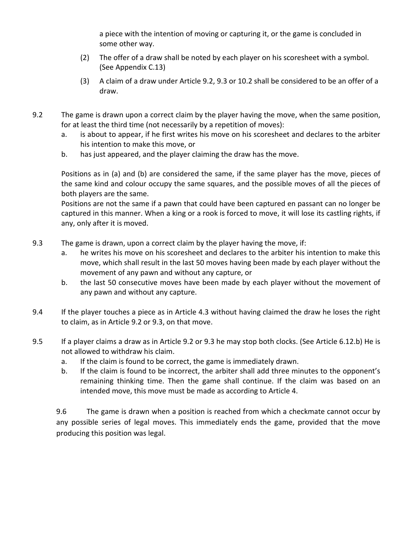a piece with the intention of moving or capturing it, or the game is concluded in some other way.

- (2) The offer of a draw shall be noted by each player on his scoresheet with a symbol. (See Appendix C.13)
- (3) A claim of a draw under Article 9.2, 9.3 or 10.2 shall be considered to be an offer of a draw.
- 9.2 The game is drawn upon a correct claim by the player having the move, when the same position, for at least the third time (not necessarily by a repetition of moves):
	- a. is about to appear, if he first writes his move on his scoresheet and declares to the arbiter his intention to make this move, or
	- b. has just appeared, and the player claiming the draw has the move.

Positions as in (a) and (b) are considered the same, if the same player has the move, pieces of the same kind and colour occupy the same squares, and the possible moves of all the pieces of both players are the same.

Positions are not the same if a pawn that could have been captured en passant can no longer be captured in this manner. When a king or a rook is forced to move, it will lose its castling rights, if any, only after it is moved.

- 9.3 The game is drawn, upon a correct claim by the player having the move, if:
	- a. he writes his move on his scoresheet and declares to the arbiter his intention to make this move, which shall result in the last 50 moves having been made by each player without the movement of any pawn and without any capture, or
	- b. the last 50 consecutive moves have been made by each player without the movement of any pawn and without any capture.
- 9.4 If the player touches a piece as in Article 4.3 without having claimed the draw he loses the right to claim, as in Article 9.2 or 9.3, on that move.
- 9.5 If a player claims a draw as in Article 9.2 or 9.3 he may stop both clocks. (See Article 6.12.b) He is not allowed to withdraw his claim.
	- a. If the claim is found to be correct, the game is immediately drawn.
	- b. If the claim is found to be incorrect, the arbiter shall add three minutes to the opponent's remaining thinking time. Then the game shall continue. If the claim was based on an intended move, this move must be made as according to Article 4.

9.6 The game is drawn when a position is reached from which a checkmate cannot occur by any possible series of legal moves. This immediately ends the game, provided that the move producing this position was legal.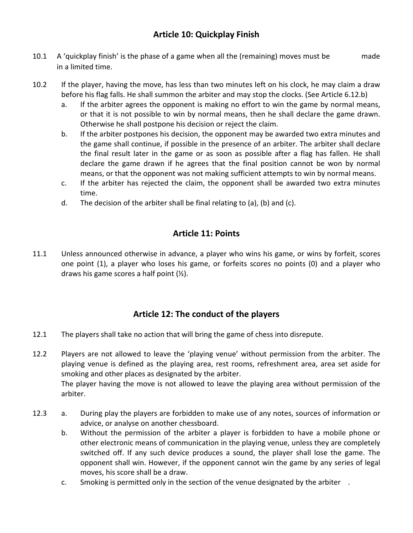# Article 10: Quickplay Finish

- 10.1 A 'quickplay finish' is the phase of a game when all the (remaining) moves must be made in a limited time.
- 10.2 If the player, having the move, has less than two minutes left on his clock, he may claim a draw before his flag falls. He shall summon the arbiter and may stop the clocks. (See Article 6.12.b)
	- a. If the arbiter agrees the opponent is making no effort to win the game by normal means, or that it is not possible to win by normal means, then he shall declare the game drawn. Otherwise he shall postpone his decision or reject the claim.
	- b. If the arbiter postpones his decision, the opponent may be awarded two extra minutes and the game shall continue, if possible in the presence of an arbiter. The arbiter shall declare the final result later in the game or as soon as possible after a flag has fallen. He shall declare the game drawn if he agrees that the final position cannot be won by normal means, or that the opponent was not making sufficient attempts to win by normal means.
	- c. If the arbiter has rejected the claim, the opponent shall be awarded two extra minutes time.
	- d. The decision of the arbiter shall be final relating to (a), (b) and (c).

# Article 11: Points

11.1 Unless announced otherwise in advance, a player who wins his game, or wins by forfeit, scores one point (1), a player who loses his game, or forfeits scores no points (0) and a player who draws his game scores a half point  $(\frac{1}{2})$ .

# Article 12: The conduct of the players

- 12.1 The players shall take no action that will bring the game of chess into disrepute.
- 12.2 Players are not allowed to leave the 'playing venue' without permission from the arbiter. The playing venue is defined as the playing area, rest rooms, refreshment area, area set aside for smoking and other places as designated by the arbiter. The player having the move is not allowed to leave the playing area without permission of the

arbiter.

- 12.3 a. During play the players are forbidden to make use of any notes, sources of information or advice, or analyse on another chessboard.
	- b. Without the permission of the arbiter a player is forbidden to have a mobile phone or other electronic means of communication in the playing venue, unless they are completely switched off. If any such device produces a sound, the player shall lose the game. The opponent shall win. However, if the opponent cannot win the game by any series of legal moves, his score shall be a draw.
	- c. Smoking is permitted only in the section of the venue designated by the arbiter .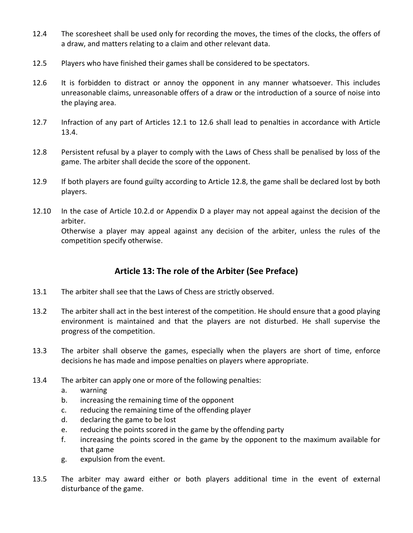- 12.4 The scoresheet shall be used only for recording the moves, the times of the clocks, the offers of a draw, and matters relating to a claim and other relevant data.
- 12.5 Players who have finished their games shall be considered to be spectators.
- 12.6 It is forbidden to distract or annoy the opponent in any manner whatsoever. This includes unreasonable claims, unreasonable offers of a draw or the introduction of a source of noise into the playing area.
- 12.7 Infraction of any part of Articles 12.1 to 12.6 shall lead to penalties in accordance with Article 13.4.
- 12.8 Persistent refusal by a player to comply with the Laws of Chess shall be penalised by loss of the game. The arbiter shall decide the score of the opponent.
- 12.9 If both players are found guilty according to Article 12.8, the game shall be declared lost by both players.
- 12.10 In the case of Article 10.2.d or Appendix D a player may not appeal against the decision of the arbiter.

Otherwise a player may appeal against any decision of the arbiter, unless the rules of the competition specify otherwise.

# Article 13: The role of the Arbiter (See Preface)

- 13.1 The arbiter shall see that the Laws of Chess are strictly observed.
- 13.2 The arbiter shall act in the best interest of the competition. He should ensure that a good playing environment is maintained and that the players are not disturbed. He shall supervise the progress of the competition.
- 13.3 The arbiter shall observe the games, especially when the players are short of time, enforce decisions he has made and impose penalties on players where appropriate.
- 13.4 The arbiter can apply one or more of the following penalties:
	- a. warning
	- b. increasing the remaining time of the opponent
	- c. reducing the remaining time of the offending player
	- d. declaring the game to be lost
	- e. reducing the points scored in the game by the offending party
	- f. increasing the points scored in the game by the opponent to the maximum available for that game
	- g. expulsion from the event.
- 13.5 The arbiter may award either or both players additional time in the event of external disturbance of the game.